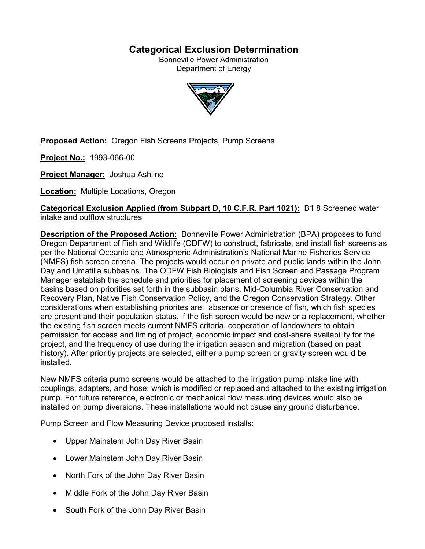# **Categorical Exclusion Determination**

Bonneville Power Administration Department of Energy



**Proposed Action:** Oregon Fish Screens Projects, Pump Screens

**Project No.:** 1993-066-00

**Project Manager:** Joshua Ashline

**Location:** Multiple Locations, Oregon

**Categorical Exclusion Applied (from Subpart D, 10 C.F.R. Part 1021):** B1.8 Screened water intake and outflow structures

**Description of the Proposed Action:** Bonneville Power Administration (BPA) proposes to fund Oregon Department of Fish and Wildlife (ODFW) to construct, fabricate, and install fish screens as per the National Oceanic and Atmospheric Administration's National Marine Fisheries Service (NMFS) fish screen criteria. The projects would occur on private and public lands within the John Day and Umatilla subbasins. The ODFW Fish Biologists and Fish Screen and Passage Program Manager establish the schedule and priorities for placement of screening devices within the basins based on priorities set forth in the subbasin plans, Mid-Columbia River Conservation and Recovery Plan, Native Fish Conservation Policy, and the Oregon Conservation Strategy. Other considerations when establishing priorites are: absence or presence of fish, which fish species are present and their population status, if the fish screen would be new or a replacement, whether the existing fish screen meets current NMFS criteria, cooperation of landowners to obtain permission for access and timing of project, economic impact and cost-share availability for the project, and the frequency of use during the irrigation season and migration (based on past history). After prioritiy projects are selected, either a pump screen or gravity screen would be installed.

New NMFS criteria pump screens would be attached to the irrigation pump intake line with couplings, adapters, and hose; which is modified or replaced and attached to the existing irrigation pump. For future reference, electronic or mechanical flow measuring devices would also be installed on pump diversions. These installations would not cause any ground disturbance.

Pump Screen and Flow Measuring Device proposed installs:

- Upper Mainstem John Day River Basin
- Lower Mainstem John Day River Basin
- North Fork of the John Day River Basin
- Middle Fork of the John Day River Basin
- South Fork of the John Day River Basin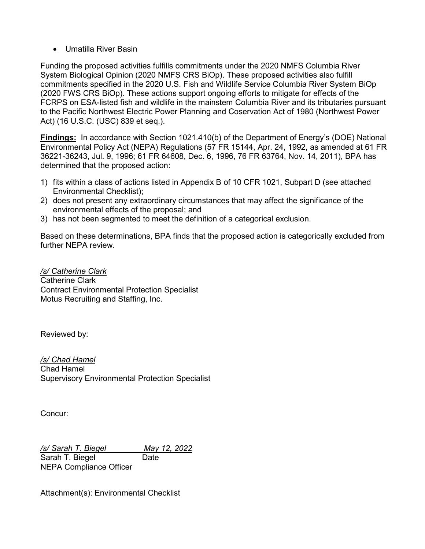• Umatilla River Basin

Funding the proposed activities fulfills commitments under the 2020 NMFS Columbia River System Biological Opinion (2020 NMFS CRS BiOp). These proposed activities also fulfill commitments specified in the 2020 U.S. Fish and Wildlife Service Columbia River System BiOp (2020 FWS CRS BiOp). These actions support ongoing efforts to mitigate for effects of the FCRPS on ESA-listed fish and wildlife in the mainstem Columbia River and its tributaries pursuant to the Pacific Northwest Electric Power Planning and Coservation Act of 1980 (Northwest Power Act) (16 U.S.C. (USC) 839 et seq.).

**Findings:** In accordance with Section 1021.410(b) of the Department of Energy's (DOE) National Environmental Policy Act (NEPA) Regulations (57 FR 15144, Apr. 24, 1992, as amended at 61 FR 36221-36243, Jul. 9, 1996; 61 FR 64608, Dec. 6, 1996, 76 FR 63764, Nov. 14, 2011), BPA has determined that the proposed action:

- 1) fits within a class of actions listed in Appendix B of 10 CFR 1021, Subpart D (see attached Environmental Checklist);
- 2) does not present any extraordinary circumstances that may affect the significance of the environmental effects of the proposal; and
- 3) has not been segmented to meet the definition of a categorical exclusion.

Based on these determinations, BPA finds that the proposed action is categorically excluded from further NFPA review

*/s/ Catherine Clark* Catherine Clark Contract Environmental Protection Specialist Motus Recruiting and Staffing, Inc.

Reviewed by:

*/s/ Chad Hamel* Chad Hamel Supervisory Environmental Protection Specialist

Concur:

*/s/ Sarah T. Biegel May 12, 2022* Sarah T. Biegel Date NEPA Compliance Officer

Attachment(s): Environmental Checklist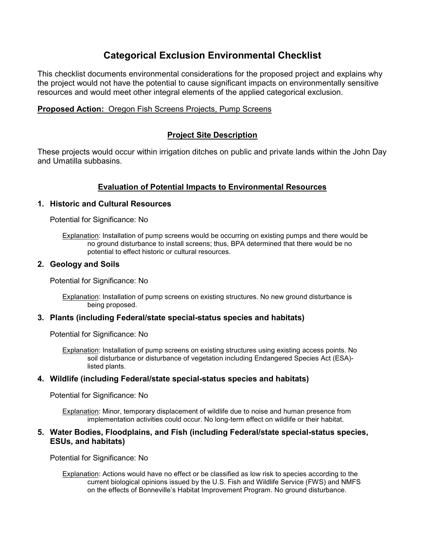# **Categorical Exclusion Environmental Checklist**

This checklist documents environmental considerations for the proposed project and explains why the project would not have the potential to cause significant impacts on environmentally sensitive resources and would meet other integral elements of the applied categorical exclusion.

# **Proposed Action:** Oregon Fish Screens Projects, Pump Screens

# **Project Site Description**

These projects would occur within irrigation ditches on public and private lands within the John Day and Umatilla subbasins.

# **Evaluation of Potential Impacts to Environmental Resources**

## **1. Historic and Cultural Resources**

Potential for Significance: No

Explanation: Installation of pump screens would be occurring on existing pumps and there would be no ground disturbance to install screens; thus, BPA determined that there would be no potential to effect historic or cultural resources.

## **2. Geology and Soils**

Potential for Significance: No

Explanation: Installation of pump screens on existing structures. No new ground disturbance is being proposed.

#### **3. Plants (including Federal/state special-status species and habitats)**

Potential for Significance: No

Explanation: Installation of pump screens on existing structures using existing access points. No soil disturbance or disturbance of vegetation including Endangered Species Act (ESA) listed plants.

## **4. Wildlife (including Federal/state special-status species and habitats)**

Potential for Significance: No

Explanation: Minor, temporary displacement of wildlife due to noise and human presence from implementation activities could occur. No long-term effect on wildlife or their habitat.

## **5. Water Bodies, Floodplains, and Fish (including Federal/state special-status species, ESUs, and habitats)**

Potential for Significance: No

Explanation: Actions would have no effect or be classified as low risk to species according to the current biological opinions issued by the U.S. Fish and Wildlife Service (FWS) and NMFS on the effects of Bonneville's Habitat Improvement Program. No ground disturbance.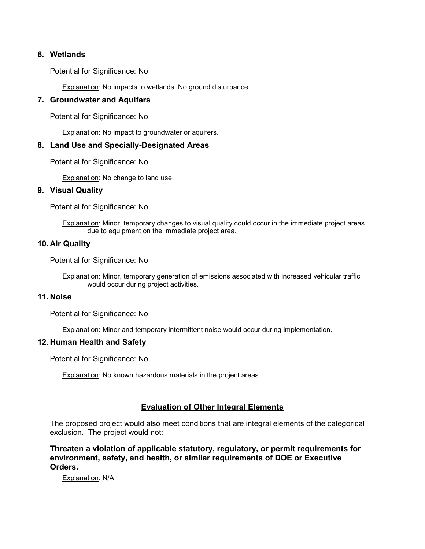## **6. Wetlands**

Potential for Significance: No

**Explanation: No impacts to wetlands. No ground disturbance.** 

#### **7. Groundwater and Aquifers**

Potential for Significance: No

**Explanation: No impact to groundwater or aquifers.** 

## **8. Land Use and Specially-Designated Areas**

Potential for Significance: No

Explanation: No change to land use.

## **9. Visual Quality**

Potential for Significance: No

Explanation: Minor, temporary changes to visual quality could occur in the immediate project areas due to equipment on the immediate project area.

#### **10. Air Quality**

Potential for Significance: No

Explanation: Minor, temporary generation of emissions associated with increased vehicular traffic would occur during project activities.

## **11. Noise**

Potential for Significance: No

Explanation: Minor and temporary intermittent noise would occur during implementation.

#### **12. Human Health and Safety**

Potential for Significance: No

Explanation: No known hazardous materials in the project areas.

## **Evaluation of Other Integral Elements**

The proposed project would also meet conditions that are integral elements of the categorical exclusion. The project would not:

**Threaten a violation of applicable statutory, regulatory, or permit requirements for environment, safety, and health, or similar requirements of DOE or Executive Orders.**

Explanation: N/A